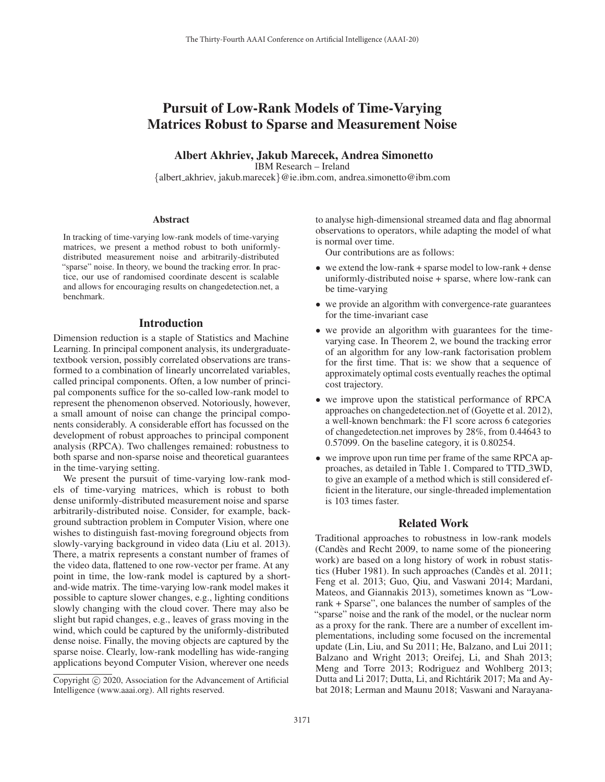# Pursuit of Low-Rank Models of Time-Varying Matrices Robust to Sparse and Measurement Noise

Albert Akhriev, Jakub Marecek, Andrea Simonetto IBM Research – Ireland

{albert akhriev, jakub.marecek}@ie.ibm.com, andrea.simonetto@ibm.com

#### **Abstract**

In tracking of time-varying low-rank models of time-varying matrices, we present a method robust to both uniformlydistributed measurement noise and arbitrarily-distributed "sparse" noise. In theory, we bound the tracking error. In practice, our use of randomised coordinate descent is scalable and allows for encouraging results on changedetection.net, a benchmark.

#### Introduction

Dimension reduction is a staple of Statistics and Machine Learning. In principal component analysis, its undergraduatetextbook version, possibly correlated observations are transformed to a combination of linearly uncorrelated variables, called principal components. Often, a low number of principal components suffice for the so-called low-rank model to represent the phenomenon observed. Notoriously, however, a small amount of noise can change the principal components considerably. A considerable effort has focussed on the development of robust approaches to principal component analysis (RPCA). Two challenges remained: robustness to both sparse and non-sparse noise and theoretical guarantees in the time-varying setting.

We present the pursuit of time-varying low-rank models of time-varying matrices, which is robust to both dense uniformly-distributed measurement noise and sparse arbitrarily-distributed noise. Consider, for example, background subtraction problem in Computer Vision, where one wishes to distinguish fast-moving foreground objects from slowly-varying background in video data (Liu et al. 2013). There, a matrix represents a constant number of frames of the video data, flattened to one row-vector per frame. At any point in time, the low-rank model is captured by a shortand-wide matrix. The time-varying low-rank model makes it possible to capture slower changes, e.g., lighting conditions slowly changing with the cloud cover. There may also be slight but rapid changes, e.g., leaves of grass moving in the wind, which could be captured by the uniformly-distributed dense noise. Finally, the moving objects are captured by the sparse noise. Clearly, low-rank modelling has wide-ranging applications beyond Computer Vision, wherever one needs to analyse high-dimensional streamed data and flag abnormal observations to operators, while adapting the model of what is normal over time.

Our contributions are as follows:

- we extend the low-rank + sparse model to low-rank + dense uniformly-distributed noise + sparse, where low-rank can be time-varying
- we provide an algorithm with convergence-rate guarantees for the time-invariant case
- we provide an algorithm with guarantees for the timevarying case. In Theorem 2, we bound the tracking error of an algorithm for any low-rank factorisation problem for the first time. That is: we show that a sequence of approximately optimal costs eventually reaches the optimal cost trajectory.
- we improve upon the statistical performance of RPCA approaches on changedetection.net of (Goyette et al. 2012), a well-known benchmark: the F1 score across 6 categories of changedetection.net improves by 28%, from 0.44643 to 0.57099. On the baseline category, it is 0.80254.
- we improve upon run time per frame of the same RPCA approaches, as detailed in Table 1. Compared to TTD 3WD, to give an example of a method which is still considered efficient in the literature, our single-threaded implementation is 103 times faster.

## Related Work

Traditional approaches to robustness in low-rank models (Candes and Recht 2009, to name some of the pioneering ` work) are based on a long history of work in robust statistics (Huber 1981). In such approaches (Candès et al. 2011; Feng et al. 2013; Guo, Qiu, and Vaswani 2014; Mardani, Mateos, and Giannakis 2013), sometimes known as "Lowrank + Sparse", one balances the number of samples of the "sparse" noise and the rank of the model, or the nuclear norm as a proxy for the rank. There are a number of excellent implementations, including some focused on the incremental update (Lin, Liu, and Su 2011; He, Balzano, and Lui 2011; Balzano and Wright 2013; Oreifej, Li, and Shah 2013; Meng and Torre 2013; Rodriguez and Wohlberg 2013; Dutta and Li 2017; Dutta, Li, and Richtárik 2017; Ma and Aybat 2018; Lerman and Maunu 2018; Vaswani and Narayana-

Copyright  $\odot$  2020, Association for the Advancement of Artificial Intelligence (www.aaai.org). All rights reserved.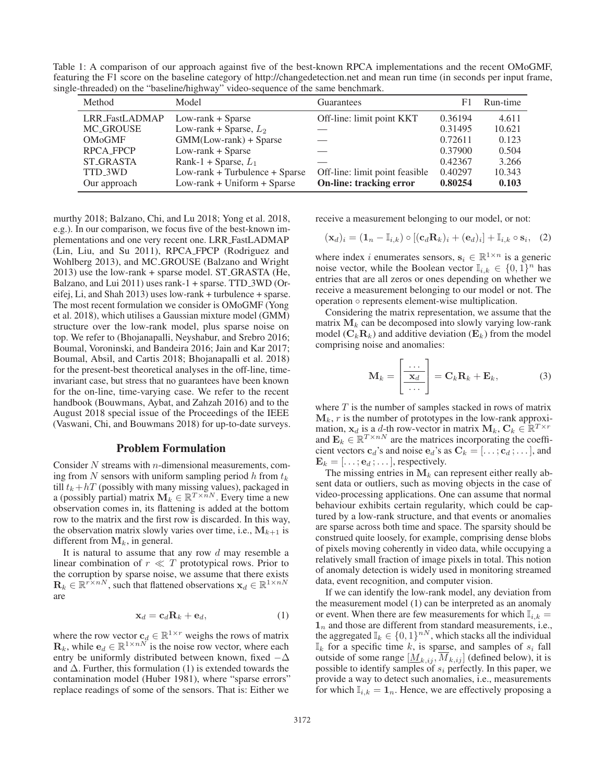Table 1: A comparison of our approach against five of the best-known RPCA implementations and the recent OMoGMF, featuring the F1 score on the baseline category of http://changedetection.net and mean run time (in seconds per input frame, single-threaded) on the "baseline/highway" video-sequence of the same benchmark.

| Method                | Model                          | Guarantees                     | F1      | Run-time |
|-----------------------|--------------------------------|--------------------------------|---------|----------|
| <b>LRR_FastLADMAP</b> | $Low-rank + Sparse$            | Off-line: limit point KKT      | 0.36194 | 4.611    |
| <b>MC_GROUSE</b>      | Low-rank + Sparse, $L_2$       |                                | 0.31495 | 10.621   |
| <b>OMoGMF</b>         | $GMM(Low-rank) + Sparse$       |                                | 0.72611 | 0.123    |
| <b>RPCA_FPCP</b>      | $Low-rank + Sparse$            |                                | 0.37900 | 0.504    |
| <b>ST_GRASTA</b>      | Rank-1 + Sparse, $L_1$         |                                | 0.42367 | 3.266    |
| TTD_3WD               | Low-rank + Turbulence + Sparse | Off-line: limit point feasible | 0.40297 | 10.343   |
| Our approach          | $Low-rank + Uniform + Sparse$  | <b>On-line: tracking error</b> | 0.80254 | 0.103    |

murthy 2018; Balzano, Chi, and Lu 2018; Yong et al. 2018, e.g.). In our comparison, we focus five of the best-known implementations and one very recent one. LRR FastLADMAP (Lin, Liu, and Su 2011), RPCA FPCP (Rodriguez and Wohlberg 2013), and MC GROUSE (Balzano and Wright 2013) use the low-rank + sparse model. ST GRASTA (He, Balzano, and Lui 2011) uses rank-1 + sparse. TTD 3WD (Oreifej, Li, and Shah 2013) uses low-rank + turbulence + sparse. The most recent formulation we consider is OMoGMF (Yong et al. 2018), which utilises a Gaussian mixture model (GMM) structure over the low-rank model, plus sparse noise on top. We refer to (Bhojanapalli, Neyshabur, and Srebro 2016; Boumal, Voroninski, and Bandeira 2016; Jain and Kar 2017; Boumal, Absil, and Cartis 2018; Bhojanapalli et al. 2018) for the present-best theoretical analyses in the off-line, timeinvariant case, but stress that no guarantees have been known for the on-line, time-varying case. We refer to the recent handbook (Bouwmans, Aybat, and Zahzah 2016) and to the August 2018 special issue of the Proceedings of the IEEE (Vaswani, Chi, and Bouwmans 2018) for up-to-date surveys.

#### Problem Formulation

Consider  $N$  streams with  $n$ -dimensional measurements, coming from N sensors with uniform sampling period h from  $t_k$ till  $t_k + hT$  (possibly with many missing values), packaged in<br>a (possibly partial) matrix  $\mathbf{M}_k \in \mathbb{R}^{T \times n}$ . Every time a new observation comes in, its flattening is added at the bottom row to the matrix and the first row is discarded. In this way, the observation matrix slowly varies over time, i.e.,  $M_{k+1}$  is different from  $M_k$ , in general.

It is natural to assume that any row  $d$  may resemble a linear combination of  $r \ll T$  prototypical rows. Prior to the corruption by sparse noise, we assume that there exists  $\mathbf{R}_k \in \mathbb{R}^{r \times n}$ , such that flattened observations  $\mathbf{x}_d \in \mathbb{R}^{1 \times n}$ are

$$
\mathbf{x}_d = \mathbf{c}_d \mathbf{R}_k + \mathbf{e}_d, \tag{1}
$$

where the row vector  $\mathbf{c}_d \in \mathbb{R}^{1 \times r}$  weighs the rows of matrix  $\mathbf{R}_k$ , while  $\mathbf{e}_d \in \mathbb{R}^{1 \times n\overline{N}}$  is the noise row vector, where each entry be uniformly distributed between known, fixed  $-\Delta$ and  $\Delta$ . Further, this formulation (1) is extended towards the contamination model (Huber 1981), where "sparse errors" replace readings of some of the sensors. That is: Either we

receive a measurement belonging to our model, or not:

$$
(\mathbf{x}_d)_i = (\mathbf{1}_n - \mathbb{I}_{i,k}) \circ [(\mathbf{c}_d \mathbf{R}_k)_i + (\mathbf{e}_d)_i] + \mathbb{I}_{i,k} \circ \mathbf{s}_i, \quad (2)
$$

where index *i* enumerates sensors,  $\mathbf{s}_i \in \mathbb{R}^{1 \times n}$  is a generic noise vector, while the Boolean vector  $\mathbb{I}_{i,k} \in \{0,1\}^n$  has entries that are all zeros or ones depending on whether we receive a measurement belonging to our model or not. The operation ◦ represents element-wise multiplication.

Considering the matrix representation, we assume that the matrix  $M_k$  can be decomposed into slowly varying low-rank model  $(C_kR_k)$  and additive deviation  $(E_k)$  from the model comprising noise and anomalies:

$$
\mathbf{M}_k = \begin{bmatrix} \dots \\ \frac{\mathbf{x}_d}{\cdots} \end{bmatrix} = \mathbf{C}_k \mathbf{R}_k + \mathbf{E}_k, \tag{3}
$$

where  $T$  is the number of samples stacked in rows of matrix  $M_k$ ,  $r$  is the number of prototypes in the low-rank approximation,  $\mathbf{x}_d$  is a d-th row-vector in matrix  $\mathbf{M}_k$ ,  $\mathbf{C}_k \in \mathbb{R}^{T \times r}$ and  $\mathbf{E}_k \in \mathbb{R}^{T \times n}$  are the matrices incorporating the coefficient vectors  $\mathbf{c}_d$ 's and noise  $\mathbf{e}_d$ 's as  $\mathbf{C}_k = [\dots; \mathbf{c}_d; \dots]$ , and  $\mathbf{E}_k = [\dots; \mathbf{e}_d; \dots]$ , respectively.

The missing entries in  $M_k$  can represent either really absent data or outliers, such as moving objects in the case of video-processing applications. One can assume that normal behaviour exhibits certain regularity, which could be captured by a low-rank structure, and that events or anomalies are sparse across both time and space. The sparsity should be construed quite loosely, for example, comprising dense blobs of pixels moving coherently in video data, while occupying a relatively small fraction of image pixels in total. This notion of anomaly detection is widely used in monitoring streamed data, event recognition, and computer vision.

If we can identify the low-rank model, any deviation from the measurement model (1) can be interpreted as an anomaly or event. When there are few measurements for which  $\mathbb{I}_{i,k} =$  $1_n$  and those are different from standard measurements, i.e., the aggregated  $\mathbb{I}_k \in \{0, 1\}^{nN}$ , which stacks all the individual  $\mathbb{I}_k$  for a specific time k, is sparse, and samples of  $s_i$  fall outside of some range  $[\underline{M}_{k,ij}, \overline{M}_{k,ij}]$  (defined below), it is possible to identify samples of  $s_i$  perfectly. In this paper, we provide a way to detect such anomalies, i.e., measurements for which  $I_{i,k} = 1_n$ . Hence, we are effectively proposing a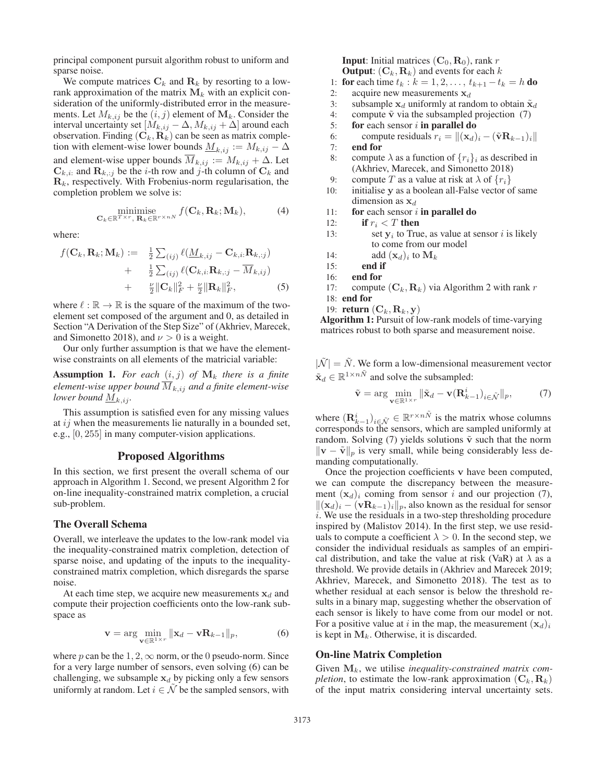principal component pursuit algorithm robust to uniform and sparse noise.

We compute matrices  $C_k$  and  $R_k$  by resorting to a lowrank approximation of the matrix  $M_k$  with an explicit consideration of the uniformly-distributed error in the measurements. Let  $M_{k,ij}$  be the  $(i, j)$  element of  $M_k$ . Consider the interval uncertainty set  $[M_{k,ij} - \Delta, M_{k,ij} + \Delta]$  around each observation. Finding  $(C_k, R_k)$  can be seen as matrix completion with element-wise lower bounds  $M_{k,ij} := M_{k,ij} - \Delta$ and element-wise upper bounds  $\overline{M}_{k,ij} := M_{k,ij} + \Delta$ . Let  $\mathbf{C}_{k,i}$ : and  $\mathbf{R}_{k,j}$  be the *i*-th row and *j*-th column of  $\mathbf{C}_k$  and  $\mathbf{R}_k$ , respectively. With Frobenius-norm regularisation, the completion problem we solve is:

$$
\underset{\mathbf{C}_k \in \mathbb{R}^{T \times r}, \ \mathbf{R}_k \in \mathbb{R}^{r \times nN}}{\text{minimise}} f(\mathbf{C}_k, \mathbf{R}_k; \mathbf{M}_k), \tag{4}
$$

where:

$$
f(\mathbf{C}_k, \mathbf{R}_k; \mathbf{M}_k) := \frac{1}{2} \sum_{(ij)} \ell(\underline{M}_{k,ij} - \mathbf{C}_{k,i:} \mathbf{R}_{k,;j})
$$
  
+ 
$$
\frac{1}{2} \sum_{(ij)} \ell(\mathbf{C}_{k,i:} \mathbf{R}_{k,j} - \overline{M}_{k,ij})
$$
  
+ 
$$
\frac{\nu}{2} ||\mathbf{C}_k||_F^2 + \frac{\nu}{2} ||\mathbf{R}_k||_F^2,
$$
 (5)

where  $\ell : \mathbb{R} \to \mathbb{R}$  is the square of the maximum of the two-<br>element set composed of the argument and 0 as detailed in element set composed of the argument and 0, as detailed in Section "A Derivation of the Step Size" of (Akhriev, Marecek, and Simonetto 2018), and  $\nu > 0$  is a weight.

Our only further assumption is that we have the elementwise constraints on all elements of the matricial variable:

**Assumption 1.** For each  $(i, j)$  of  $M_k$  there is a finite *element-wise upper bound*  $\overline{M}_{k,ij}$  *and a finite element-wise lower bound*  $\underline{M}_{k,ii}$ *.* 

This assumption is satisfied even for any missing values at  $ij$  when the measurements lie naturally in a bounded set, e.g., [0, 255] in many computer-vision applications.

#### Proposed Algorithms

In this section, we first present the overall schema of our approach in Algorithm 1. Second, we present Algorithm 2 for on-line inequality-constrained matrix completion, a crucial sub-problem.

#### The Overall Schema

Overall, we interleave the updates to the low-rank model via the inequality-constrained matrix completion, detection of sparse noise, and updating of the inputs to the inequalityconstrained matrix completion, which disregards the sparse noise.

At each time step, we acquire new measurements  $x_d$  and compute their projection coefficients onto the low-rank subspace as

$$
\mathbf{v} = \arg\min_{\mathbf{v} \in \mathbb{R}^{1 \times r}} \|\mathbf{x}_d - \mathbf{v} \mathbf{R}_{k-1}\|_p, \tag{6}
$$

where p can be the  $1, 2, \infty$  norm, or the 0 pseudo-norm. Since for a very large number of sensors, even solving (6) can be challenging, we subsample  $x_d$  by picking only a few sensors uniformly at random. Let  $i \in \tilde{\mathcal{N}}$  be the sampled sensors, with **Input:** Initial matrices  $(C_0, R_0)$ , rank r **Output:**  $(C_k, R_k)$  and events for each k

- 1: **for** each time  $t_k$  :  $k = 1, 2, ..., t_{k+1} t_k = h$  **do**<br>2: acquire new measurements  $x_d$
- acquire new measurements  $x_d$
- 3: subsample  $\mathbf{x}_d$  uniformly at random to obtain  $\tilde{\mathbf{x}}_d$ <br>4: compute  $\tilde{\mathbf{v}}$  via the subsampled projection (7)
- 4: compute  $\tilde{v}$  via the subsampled projection (7)<br>5: **for** each sensor *i* **in parallel do**
- for each sensor  $i$  in parallel do
- 6: compute residuals  $r_i = ||(\mathbf{x}_d)_i (\tilde{\mathbf{v}} \mathbf{R}_{k-1})_i||$ <br>7: **end for**

- 8: compute  $\lambda$  as a function of  $\{r_i\}_i$  as described in (Akhriev, Marecek, and Simonetto 2018)
- 9: compute T as a value at risk at  $\lambda$  of  $\{r_i\}$
- 10: initialise **y** as a boolean all-False vector of same dimension as  $x_d$
- 11: for each sensor  $i$  in parallel do
- 12: if  $r_i < T$  then
- 13: set  $y_i$  to True, as value at sensor i is likely to come from our model
- 14: add  $(\mathbf{x}_d)_i$  to  $\mathbf{M}_k$ <br>15: **end if**
- end if
- 16: end for
- 17: compute  $(C_k, R_k)$  via Algorithm 2 with rank r
- 18: end for
- 19: **return**  $(\mathbf{C}_k, \mathbf{R}_k, \mathbf{y})$

Algorithm 1: Pursuit of low-rank models of time-varying matrices robust to both sparse and measurement noise.

 $|\tilde{\mathcal{N}}| = \tilde{N}$ . We form a low-dimensional measurement vector  $\tilde{\mathbf{x}}_d \in \mathbb{R}^{1 \times n\tilde{N}}$  and solve the subsampled:

$$
\tilde{\mathbf{v}} = \arg \min_{\mathbf{v} \in \mathbb{R}^{1 \times r}} \| \tilde{\mathbf{x}}_d - \mathbf{v}(\mathbf{R}_{k-1}^i)_{i \in \tilde{\mathcal{N}}} \|_p, \tag{7}
$$

where  $(\mathbf{R}_{k-1}^i)_{i \in \tilde{\mathcal{N}}} \in \mathbb{R}^{r \times n\tilde{N}}$  is the matrix whose columns corresponds to the sensors, which are sampled uniformly at random. Solving  $(7)$  yields solutions  $\tilde{v}$  such that the norm  $\|\mathbf{v} - \tilde{\mathbf{v}}\|_p$  is very small, while being considerably less demanding computationally.

Once the projection coefficients **v** have been computed, we can compute the discrepancy between the measurement  $(\mathbf{x}_d)_i$  coming from sensor i and our projection (7),  $\|(\mathbf{x}_d)_i - (\mathbf{v} \mathbf{R}_{k-1})_i\|_p$ , also known as the residual for sensor i. We use the residuals in a two-step thresholding procedure inspired by (Malistov 2014). In the first step, we use residuals to compute a coefficient  $\lambda > 0$ . In the second step, we consider the individual residuals as samples of an empirical distribution, and take the value at risk (VaR) at  $\lambda$  as a threshold. We provide details in (Akhriev and Marecek 2019; Akhriev, Marecek, and Simonetto 2018). The test as to whether residual at each sensor is below the threshold results in a binary map, suggesting whether the observation of each sensor is likely to have come from our model or not. For a positive value at i in the map, the measurement  $(\mathbf{x}_d)_i$ is kept in  $M_k$ . Otherwise, it is discarded.

#### On-line Matrix Completion

Given **M**k, we utilise *inequality-constrained matrix completion*, to estimate the low-rank approximation  $(C_k, R_k)$ of the input matrix considering interval uncertainty sets.

end for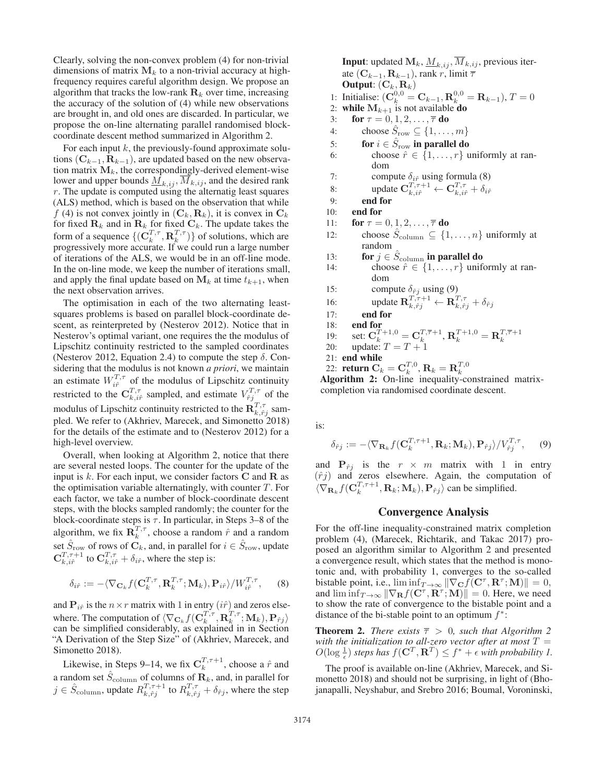Clearly, solving the non-convex problem (4) for non-trivial dimensions of matrix  $M_k$  to a non-trivial accuracy at highfrequency requires careful algorithm design. We propose an algorithm that tracks the low-rank  $\mathbf{R}_k$  over time, increasing the accuracy of the solution of (4) while new observations are brought in, and old ones are discarded. In particular, we propose the on-line alternating parallel randomised blockcoordinate descent method summarized in Algorithm 2.

For each input  $k$ , the previously-found approximate solutions  $(C_{k-1}, R_{k-1})$ , are updated based on the new observation matrix  $M_k$ , the correspondingly-derived element-wise lower and upper bounds  $\overline{M}_{k,ij}$ ,  $\overline{M}_{k,ij}$ , and the desired rank  $r$ . The update is computed using the alternatig least squares (ALS) method, which is based on the observation that while f (4) is not convex jointly in  $(C_k, R_k)$ , it is convex in  $C_k$ for fixed  $\mathbf{R}_k$  and in  $\mathbf{R}_k$  for fixed  $\mathbf{C}_k$ . The update takes the form of a sequence  $\{(\mathbf{C}_k^{T,\tau}, \mathbf{R}_k^{T,\tau})\}$  of solutions, which are<br>progressively more accurate. If we could run a large number progressively more accurate. If we could run a large number of iterations of the ALS, we would be in an off-line mode. In the on-line mode, we keep the number of iterations small, and apply the final update based on  $M_k$  at time  $t_{k+1}$ , when the next observation arrives.

The optimisation in each of the two alternating leastsquares problems is based on parallel block-coordinate descent, as reinterpreted by (Nesterov 2012). Notice that in Nesterov's optimal variant, one requires the the modulus of Lipschitz continuity restricted to the sampled coordinates (Nesterov 2012, Equation 2.4) to compute the step  $\delta$ . Considering that the modulus is not known *a priori*, we maintain an estimate  $W_{i\hat{r}}^{T,\tau}$  of the modulus of Lipschitz continuity restricted to the  $C_{k, i\hat{r}}^{T,\tau}$  sampled, and estimate  $V_{\hat{r}j}^{T,\tau}$  of the modulus of Lipschitz continuity restricted to the  $\mathbf{R}_{k, \hat{r}j}^{T, \tau}$  sampled. We refer to (Akhriev, Marecek, and Simonetto 2018) for the details of the estimate and to (Nesterov 2012) for a high-level overview.

Overall, when looking at Algorithm 2, notice that there are several nested loops. The counter for the update of the input is k. For each input, we consider factors **C** and **R** as the optimisation variable alternatingly, with counter  $T$ . For each factor, we take a number of block-coordinate descent steps, with the blocks sampled randomly; the counter for the block-coordinate steps is  $\tau$ . In particular, in Steps 3–8 of the algorithm, we fix  $\mathbf{R}_k^{T,\tau}$ , choose a random  $\hat{r}$  and a random set  $\hat{S}_{\text{row}}$  of rows of  $\mathbf{C}_k$ , and, in parallel for  $i \in \hat{S}_{\text{row}}$ , update  $\mathbf{C}_{k,i\hat{r}}^{T,\tau+1}$  to  $\mathbf{C}_{k,i\hat{r}}^{T,\tau} + \delta_{i\hat{r}}$ , where the step is:

$$
\delta_{i\hat{r}} := -\langle \nabla_{\mathbf{C}_k} f(\mathbf{C}_k^{T,\tau}, \mathbf{R}_k^{T,\tau}; \mathbf{M}_k), \mathbf{P}_{i\hat{r}} \rangle / W_{i\hat{r}}^{T,\tau}, \quad (8)
$$

and  $P_{i\hat{r}}$  is the  $n \times r$  matrix with 1 in entry  $(i\hat{r})$  and zeros elsewhere. The computation of  $\langle \nabla_{\mathbf{C}_k} f(\mathbf{C}_k^T, \cdot, \mathbf{R}_k^T, \cdot, \mathbf{M}_k), \mathbf{P}_{\hat{r}j} \rangle$ <br>can be simplified considerably as explained in in Section can be simplified considerably, as explained in in Section "A Derivation of the Step Size" of (Akhriev, Marecek, and Simonetto 2018).

Likewise, in Steps 9–14, we fix  $C_k^{T,\tau+1}$ , choose a  $\hat{r}$  and a random set  $\hat{S}_{\text{column}}$  of columns of  $\mathbf{R}_k$ , and, in parallel for  $j \in \hat{S}_{\text{column}}$ , update  $R_{k,\hat{r}j}^{T,\tau+1}$  to  $R_{k,\hat{r}j}^{T,\tau} + \delta_{\hat{r}j}$ , where the step

**Input:** updated  $\mathbf{M}_k$ ,  $\underline{M}_{k,ij}$ ,  $\overline{M}_{k,ij}$ , previous iterate  $(\mathbf{C}_{k-1}, \mathbf{R}_{k-1})$ , rank r, limit  $\overline{\tau}$ **Output:**  $(\mathbf{C}_k, \mathbf{R}_k)$ <br>Initialise:  $(\mathbf{C}^{0,0})$ 1: Initialise:  $(C_k^{0,0} = C_{k-1}, R_k^{0,0} = R_{k-1}), T = 0$ <br>2: **while**  $M_{k+1}$  is not available **do** 3: **for**  $\tau = 0, 1, 2, \ldots, \overline{\tau}$  do<br>4: **choose**  $\hat{S}_{\text{row}} \subset \{1, \ldots\}$ 4: choose  $\hat{S}_{\text{row}} \subseteq \{1, ..., m\}$ <br>5: **for**  $i \in \hat{S}_{\text{row}}$  in parallel do 5: for  $i \in \hat{S}_{\text{row}}$  in parallel do 6: choose  $\hat{r} \in \{1, ..., r\}$  uniformly at ran-<br>dom dom 7: compute  $\delta_{i\hat{r}}$  using formula (8) 8: update  $\mathbf{C}_{k, i\hat{r}}^{T, \tau+1} \leftarrow \mathbf{C}_{k, i\hat{r}}^{T, \tau} + \delta_{i\hat{r}}$ <sup>0</sup> 9: end for 10: end for 11: **for**  $\tau = 0, 1, 2, \ldots, \overline{\tau}$  **do**<br>12: **choose**  $\hat{S}_{\text{column}} \subset \{1\}$ choose  $\hat{S}_{\text{column}} \subseteq \{1, \ldots, n\}$  uniformly at random 13: **for**  $j \in \hat{S}_{\text{column}}$  in parallel do 14: choose  $\hat{r} \in \{1, \ldots, r\}$  uniformly at ran-<br>dom dom 15: compute  $\delta_{\hat{r}j}$  using (9) 16: update  $\mathbf{R}_{k,\hat{r}j}^{T,\tau+1} \leftarrow \mathbf{R}_{k,\hat{r}j}^{T,\tau} + \delta_{\hat{r}j}$ <br>17. **end for** 17: end for 18: **end for**<br>
19: set:  $\mathbf{C}_k^{T_+ + 1,0} = \mathbf{C}_k^{T_+ \overline{\tau} + 1}, \mathbf{R}_k^{T_+ + 1,0} = \mathbf{R}_k^{T_+ \overline{\tau} + 1}$ <br>
20: update:  $T = T + 1$ <br>
21: **end while** 21: end while 22: **return**  $\mathbf{C}_k = \mathbf{C}_k^{T,0}, \mathbf{R}_k = \mathbf{R}_k^{T,0}$ <br>Algorithm 2: On-line inequality-constrained matrix-

completion via randomised coordinate descent.

is:

$$
\delta_{\hat{r}j} := -\langle \nabla_{\mathbf{R}_k} f(\mathbf{C}_k^{T,\tau+1}, \mathbf{R}_k; \mathbf{M}_k), \mathbf{P}_{\hat{r}j} \rangle / V_{\hat{r}j}^{T,\tau}, \quad (9)
$$

and  $P_{\hat{r}j}$  is the  $r \times m$  matrix with 1 in entry  $(\hat{r}j)$  and zeros elsewhere. Again, the computation of  $\sqrt{\sum_{r=1}^{r} f(r^T, \tau+1)}$  **P**. And P<sub>1</sub> and p simplified  $\langle \nabla_{\mathbf{R}_k} f(\mathbf{C}_k^{T,\tau+1}, \mathbf{R}_k; \mathbf{M}_k), \mathbf{P}_{\hat{r}j} \rangle$  can be simplified.

# Convergence Analysis

For the off-line inequality-constrained matrix completion problem (4), (Marecek, Richtarik, and Takac 2017) proposed an algorithm similar to Algorithm 2 and presented a convergence result, which states that the method is monotonic and, with probability 1, converges to the so-called bistable point, i.e.,  $\liminf_{T\to\infty} \|\nabla_{\mathbf{C}} f(\mathbf{C}^{\tau}, \mathbf{R}^{\tau}; \mathbf{M})\| = 0$ , and  $\liminf_{T\to\infty} \|\nabla_{\mathbf{P}} f(\mathbf{C}^{\tau}, \mathbf{R}^{\tau}; \mathbf{M})\| = 0$ . Here we need and  $\liminf_{T\to\infty} \|\nabla_{\mathbf{R}}f(\mathbf{C}^{\tau}, \mathbf{R}^{\tau}; \mathbf{M})\| = 0$ . Here, we need to show the rate of convergence to the bistable point and a distance of the bi-stable point to an optimum  $f^*$ :

**Theorem 2.** *There exists*  $\overline{\tau} > 0$ *, such that Algorithm 2 with the initialization to all-zero vector after at most*  $T = O(\log^{\frac{1}{2}})$  steps has  $f(\mathbf{C}^T \ \mathbf{R}^T) \leq f^* + \epsilon$  with probability I  $O(\log \frac{1}{\epsilon})$  *steps has*  $f(\mathbf{C}^T, \mathbf{R}^T) \leq f^* + \epsilon$  *with probability 1.* 

The proof is available on-line (Akhriev, Marecek, and Simonetto 2018) and should not be surprising, in light of (Bhojanapalli, Neyshabur, and Srebro 2016; Boumal, Voroninski,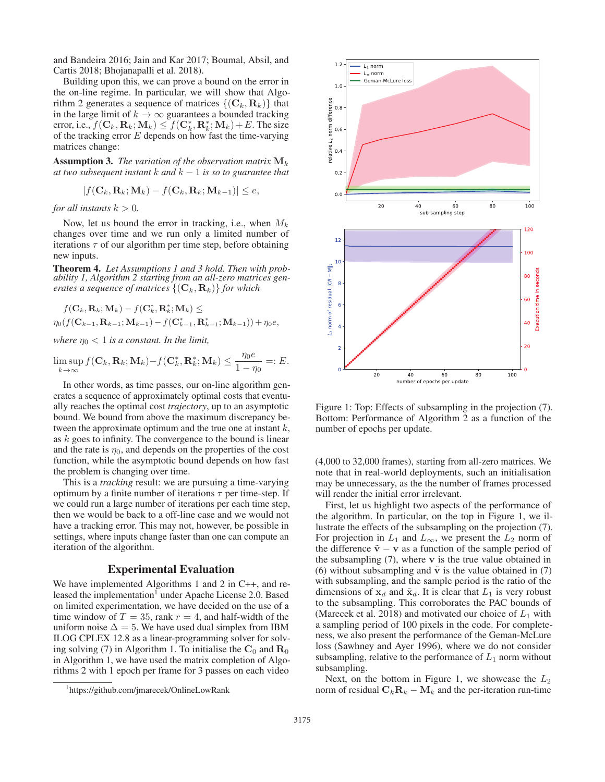and Bandeira 2016; Jain and Kar 2017; Boumal, Absil, and Cartis 2018; Bhojanapalli et al. 2018).

Building upon this, we can prove a bound on the error in the on-line regime. In particular, we will show that Algorithm 2 generates a sequence of matrices  $\{(\mathbf{C}_k, \mathbf{R}_k)\}\)$  that in the large limit of  $k \to \infty$  guarantees a bounded tracking error, i.e.,  $f(\mathbf{C}_k, \mathbf{R}_k; \mathbf{M}_k) \leq f(\mathbf{C}_k^*, \mathbf{R}_k^*, \mathbf{M}_k) + E$ . The size of the tracking error E depends on how fast the time-varying of the tracking error  $E$  depends on how fast the time-varying matrices change:

Assumption 3. *The variation of the observation matrix* **M**<sup>k</sup> *at two subsequent instant*  $k$  *and*  $k - 1$  *is so to guarantee that* 

$$
|f(\mathbf{C}_k, \mathbf{R}_k; \mathbf{M}_k) - f(\mathbf{C}_k, \mathbf{R}_k; \mathbf{M}_{k-1})| \leq e,
$$

*for all instants*  $k > 0$ *.* 

Now, let us bound the error in tracking, i.e., when  $M_k$ changes over time and we run only a limited number of iterations  $\tau$  of our algorithm per time step, before obtaining new inputs.

Theorem 4. *Let Assumptions 1 and 3 hold. Then with probability 1, Algorithm 2 starting from an all-zero matrices generates a sequence of matrices*  $\{(\mathbf{C}_k, \mathbf{R}_k)\}\$  *for which* 

$$
f(\mathbf{C}_k, \mathbf{R}_k; \mathbf{M}_k) - f(\mathbf{C}_k^*, \mathbf{R}_k^*, \mathbf{M}_k) \le \eta_0(f(\mathbf{C}_{k-1}, \mathbf{R}_{k-1}; \mathbf{M}_{k-1}) - f(\mathbf{C}_{k-1}^*, \mathbf{R}_{k-1}^*; \mathbf{M}_{k-1})) + \eta_0 e,
$$

*where*  $\eta_0 < 1$  *is a constant. In the limit,* 

$$
\limsup_{k\to\infty} f(\mathbf{C}_k, \mathbf{R}_k; \mathbf{M}_k) - f(\mathbf{C}_k^*, \mathbf{R}_k^*; \mathbf{M}_k) \le \frac{\eta_0 e}{1 - \eta_0} =: E.
$$

In other words, as time passes, our on-line algorithm generates a sequence of approximately optimal costs that eventually reaches the optimal cost *trajectory*, up to an asymptotic bound. We bound from above the maximum discrepancy between the approximate optimum and the true one at instant  $k$ , as  $k$  goes to infinity. The convergence to the bound is linear and the rate is  $\eta_0$ , and depends on the properties of the cost function, while the asymptotic bound depends on how fast the problem is changing over time.

This is a *tracking* result: we are pursuing a time-varying optimum by a finite number of iterations  $\tau$  per time-step. If we could run a large number of iterations per each time step, then we would be back to a off-line case and we would not have a tracking error. This may not, however, be possible in settings, where inputs change faster than one can compute an iteration of the algorithm.

## Experimental Evaluation

We have implemented Algorithms 1 and 2 in C++, and released the implementation<sup>1</sup> under Apache License 2.0. Based on limited experimentation, we have decided on the use of a time window of  $T = 35$ , rank  $r = 4$ , and half-width of the uniform noise  $\Delta = 5$ . We have used dual simplex from IBM ILOG CPLEX 12.8 as a linear-programming solver for solving solving (7) in Algorithm 1. To initialise the  $\mathbf{C}_0$  and  $\mathbf{R}_0$ in Algorithm 1, we have used the matrix completion of Algorithms 2 with 1 epoch per frame for 3 passes on each video



Figure 1: Top: Effects of subsampling in the projection (7). Bottom: Performance of Algorithm 2 as a function of the number of epochs per update.

(4,000 to 32,000 frames), starting from all-zero matrices. We note that in real-world deployments, such an initialisation may be unnecessary, as the the number of frames processed will render the initial error irrelevant.

First, let us highlight two aspects of the performance of the algorithm. In particular, on the top in Figure 1, we illustrate the effects of the subsampling on the projection (7). For projection in  $L_1$  and  $L_{\infty}$ , we present the  $L_2$  norm of the difference  $\tilde{v} - v$  as a function of the sample period of the subsampling (7), where **v** is the true value obtained in (6) without subsampling and  $\tilde{v}$  is the value obtained in (7) with subsampling, and the sample period is the ratio of the dimensions of  $x_d$  and  $\tilde{x}_d$ . It is clear that  $L_1$  is very robust to the subsampling. This corroborates the PAC bounds of (Marecek et al. 2018) and motivated our choice of  $L_1$  with a sampling period of 100 pixels in the code. For completeness, we also present the performance of the Geman-McLure loss (Sawhney and Ayer 1996), where we do not consider subsampling, relative to the performance of  $L_1$  norm without subsampling.

Next, on the bottom in Figure 1, we showcase the  $L_2$ norm of residual  $C_k R_k - M_k$  and the per-iteration run-time

<sup>1</sup> https://github.com/jmarecek/OnlineLowRank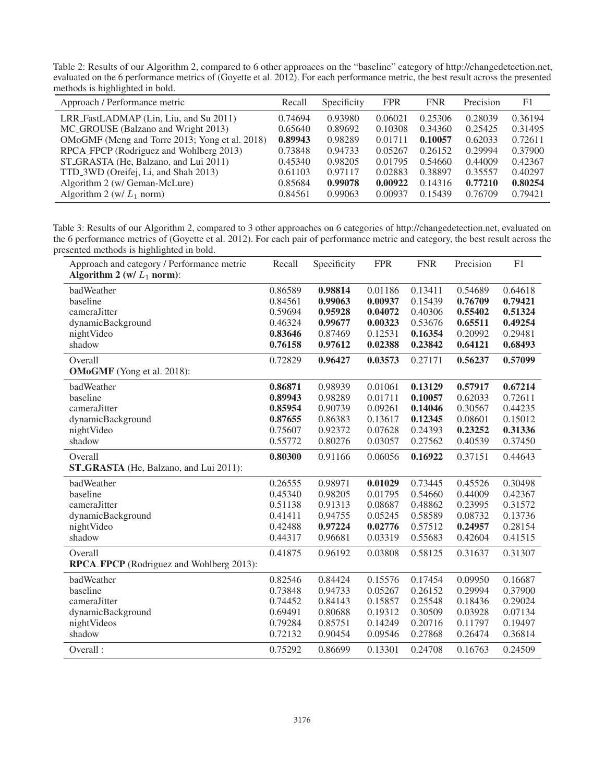Table 2: Results of our Algorithm 2, compared to 6 other approaces on the "baseline" category of http://changedetection.net, evaluated on the 6 performance metrics of (Goyette et al. 2012). For each performance metric, the best result across the presented methods is highlighted in bold.

| Approach / Performance metric                  | Recall  | Specificity | <b>FPR</b> | <b>FNR</b> | Precision | F1      |
|------------------------------------------------|---------|-------------|------------|------------|-----------|---------|
| LRR_FastLADMAP (Lin, Liu, and Su 2011)         | 0.74694 | 0.93980     | 0.06021    | 0.25306    | 0.28039   | 0.36194 |
| MC_GROUSE (Balzano and Wright 2013)            | 0.65640 | 0.89692     | 0.10308    | 0.34360    | 0.25425   | 0.31495 |
| OMoGMF (Meng and Torre 2013; Yong et al. 2018) | 0.89943 | 0.98289     | 0.01711    | 0.10057    | 0.62033   | 0.72611 |
| RPCA_FPCP (Rodriguez and Wohlberg 2013)        | 0.73848 | 0.94733     | 0.05267    | 0.26152    | 0.29994   | 0.37900 |
| ST_GRASTA (He, Balzano, and Lui 2011)          | 0.45340 | 0.98205     | 0.01795    | 0.54660    | 0.44009   | 0.42367 |
| TTD_3WD (Oreifej, Li, and Shah 2013)           | 0.61103 | 0.97117     | 0.02883    | 0.38897    | 0.35557   | 0.40297 |
| Algorithm 2 (w/ Geman-McLure)                  | 0.85684 | 0.99078     | 0.00922    | 0.14316    | 0.77210   | 0.80254 |
| Algorithm 2 (w/ $L_1$ norm)                    | 0.84561 | 0.99063     | 0.00937    | 0.15439    | 0.76709   | 0.79421 |

Table 3: Results of our Algorithm 2, compared to 3 other approaches on 6 categories of http://changedetection.net, evaluated on the 6 performance metrics of (Goyette et al. 2012). For each pair of performance metric and category, the best result across the presented methods is highlighted in bold.  $\overline{\phantom{a}}$ 

| Approach and category / Performance metric<br>Algorithm 2 (w/ $L_1$ norm): | Recall             | Specificity        | <b>FPR</b>         | <b>FNR</b>         | Precision          | F <sub>1</sub>     |
|----------------------------------------------------------------------------|--------------------|--------------------|--------------------|--------------------|--------------------|--------------------|
| badWeather                                                                 | 0.86589            | 0.98814            | 0.01186            | 0.13411            | 0.54689            | 0.64618            |
| baseline                                                                   | 0.84561            | 0.99063            | 0.00937            | 0.15439            | 0.76709            | 0.79421            |
| cameraJitter                                                               | 0.59694            | 0.95928            | 0.04072            | 0.40306            | 0.55402            | 0.51324            |
| dynamicBackground<br>nightVideo                                            | 0.46324<br>0.83646 | 0.99677<br>0.87469 | 0.00323<br>0.12531 | 0.53676<br>0.16354 | 0.65511<br>0.20992 | 0.49254<br>0.29481 |
| shadow                                                                     | 0.76158            | 0.97612            | 0.02388            | 0.23842            | 0.64121            | 0.68493            |
| Overall                                                                    | 0.72829            | 0.96427            | 0.03573            | 0.27171            | 0.56237            | 0.57099            |
| <b>OMoGMF</b> (Yong et al. 2018):                                          |                    |                    |                    |                    |                    |                    |
| badWeather                                                                 | 0.86871            | 0.98939            | 0.01061            | 0.13129            | 0.57917            | 0.67214            |
| baseline                                                                   | 0.89943            | 0.98289            | 0.01711            | 0.10057            | 0.62033            | 0.72611            |
| cameraJitter                                                               | 0.85954            | 0.90739            | 0.09261            | 0.14046            | 0.30567            | 0.44235            |
| dynamicBackground                                                          | 0.87655            | 0.86383            | 0.13617            | 0.12345            | 0.08601            | 0.15012            |
| nightVideo                                                                 | 0.75607            | 0.92372            | 0.07628            | 0.24393            | 0.23252            | 0.31336            |
| shadow                                                                     | 0.55772            | 0.80276            | 0.03057            | 0.27562            | 0.40539            | 0.37450            |
| Overall                                                                    | 0.80300            | 0.91166            | 0.06056            | 0.16922            | 0.37151            | 0.44643            |
| ST_GRASTA (He, Balzano, and Lui 2011):                                     |                    |                    |                    |                    |                    |                    |
| badWeather                                                                 | 0.26555            | 0.98971            | 0.01029            | 0.73445            | 0.45526            | 0.30498            |
| baseline                                                                   | 0.45340            | 0.98205            | 0.01795            | 0.54660            | 0.44009            | 0.42367            |
| camera.Jitter                                                              | 0.51138            | 0.91313            | 0.08687            | 0.48862            | 0.23995            | 0.31572            |
| dynamicBackground                                                          | 0.41411            | 0.94755            | 0.05245            | 0.58589            | 0.08732            | 0.13736            |
| nightVideo                                                                 | 0.42488            | 0.97224            | 0.02776            | 0.57512            | 0.24957            | 0.28154            |
| shadow                                                                     | 0.44317            | 0.96681            | 0.03319            | 0.55683            | 0.42604            | 0.41515            |
| Overall                                                                    | 0.41875            | 0.96192            | 0.03808            | 0.58125            | 0.31637            | 0.31307            |
| RPCA_FPCP (Rodriguez and Wohlberg 2013):                                   |                    |                    |                    |                    |                    |                    |
| badWeather                                                                 | 0.82546            | 0.84424            | 0.15576            | 0.17454            | 0.09950            | 0.16687            |
| baseline                                                                   | 0.73848            | 0.94733            | 0.05267            | 0.26152            | 0.29994            | 0.37900            |
| cameraJitter                                                               | 0.74452            | 0.84143            | 0.15857            | 0.25548            | 0.18436            | 0.29024            |
| dynamicBackground                                                          | 0.69491            | 0.80688            | 0.19312            | 0.30509            | 0.03928            | 0.07134            |
| nightVideos                                                                | 0.79284            | 0.85751            | 0.14249            | 0.20716            | 0.11797            | 0.19497            |
| shadow                                                                     | 0.72132            | 0.90454            | 0.09546            | 0.27868            | 0.26474            | 0.36814            |
| Overall:                                                                   | 0.75292            | 0.86699            | 0.13301            | 0.24708            | 0.16763            | 0.24509            |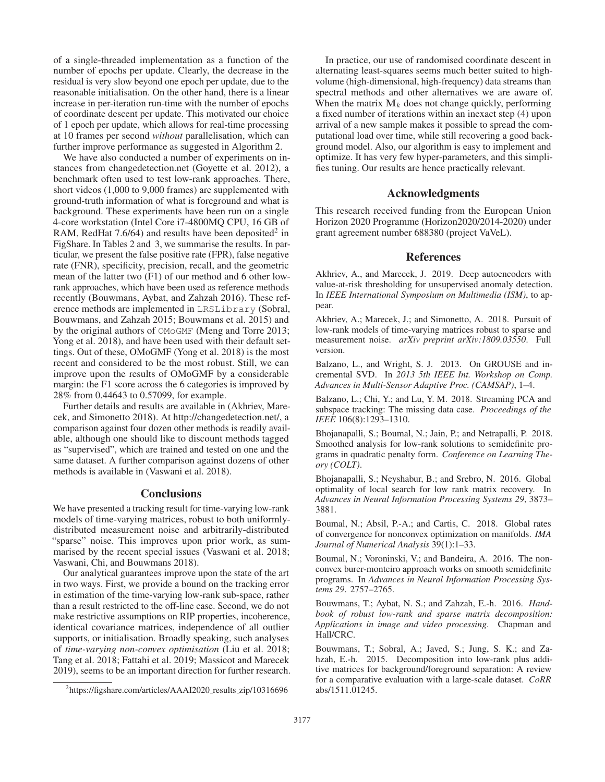of a single-threaded implementation as a function of the number of epochs per update. Clearly, the decrease in the residual is very slow beyond one epoch per update, due to the reasonable initialisation. On the other hand, there is a linear increase in per-iteration run-time with the number of epochs of coordinate descent per update. This motivated our choice of 1 epoch per update, which allows for real-time processing at 10 frames per second *without* parallelisation, which can further improve performance as suggested in Algorithm 2.

We have also conducted a number of experiments on instances from changedetection.net (Goyette et al. 2012), a benchmark often used to test low-rank approaches. There, short videos (1,000 to 9,000 frames) are supplemented with ground-truth information of what is foreground and what is background. These experiments have been run on a single 4-core workstation (Intel Core i7-4800MQ CPU, 16 GB of RAM, RedHat  $7.6/64$ ) and results have been deposited<sup>2</sup> in FigShare. In Tables 2 and 3, we summarise the results. In particular, we present the false positive rate (FPR), false negative rate (FNR), specificity, precision, recall, and the geometric mean of the latter two (F1) of our method and 6 other lowrank approaches, which have been used as reference methods recently (Bouwmans, Aybat, and Zahzah 2016). These reference methods are implemented in LRSLibrary (Sobral, Bouwmans, and Zahzah 2015; Bouwmans et al. 2015) and by the original authors of OMoGMF (Meng and Torre 2013; Yong et al. 2018), and have been used with their default settings. Out of these, OMoGMF (Yong et al. 2018) is the most recent and considered to be the most robust. Still, we can improve upon the results of OMoGMF by a considerable margin: the F1 score across the 6 categories is improved by 28% from 0.44643 to 0.57099, for example.

Further details and results are available in (Akhriev, Marecek, and Simonetto 2018). At http://changedetection.net/, a comparison against four dozen other methods is readily available, although one should like to discount methods tagged as "supervised", which are trained and tested on one and the same dataset. A further comparison against dozens of other methods is available in (Vaswani et al. 2018).

## **Conclusions**

We have presented a tracking result for time-varying low-rank models of time-varying matrices, robust to both uniformlydistributed measurement noise and arbitrarily-distributed "sparse" noise. This improves upon prior work, as summarised by the recent special issues (Vaswani et al. 2018; Vaswani, Chi, and Bouwmans 2018).

Our analytical guarantees improve upon the state of the art in two ways. First, we provide a bound on the tracking error in estimation of the time-varying low-rank sub-space, rather than a result restricted to the off-line case. Second, we do not make restrictive assumptions on RIP properties, incoherence, identical covariance matrices, independence of all outlier supports, or initialisation. Broadly speaking, such analyses of *time-varying non-convex optimisation* (Liu et al. 2018; Tang et al. 2018; Fattahi et al. 2019; Massicot and Marecek 2019), seems to be an important direction for further research.

In practice, our use of randomised coordinate descent in alternating least-squares seems much better suited to highvolume (high-dimensional, high-frequency) data streams than spectral methods and other alternatives we are aware of. When the matrix  $M_k$  does not change quickly, performing a fixed number of iterations within an inexact step (4) upon arrival of a new sample makes it possible to spread the computational load over time, while still recovering a good background model. Also, our algorithm is easy to implement and optimize. It has very few hyper-parameters, and this simplifies tuning. Our results are hence practically relevant.

#### Acknowledgments

This research received funding from the European Union Horizon 2020 Programme (Horizon2020/2014-2020) under grant agreement number 688380 (project VaVeL).

## **References**

Akhriev, A., and Marecek, J. 2019. Deep autoencoders with value-at-risk thresholding for unsupervised anomaly detection. In *IEEE International Symposium on Multimedia (ISM)*, to appear.

Akhriev, A.; Marecek, J.; and Simonetto, A. 2018. Pursuit of low-rank models of time-varying matrices robust to sparse and measurement noise. *arXiv preprint arXiv:1809.03550*. Full version.

Balzano, L., and Wright, S. J. 2013. On GROUSE and incremental SVD. In *2013 5th IEEE Int. Workshop on Comp. Advances in Multi-Sensor Adaptive Proc. (CAMSAP)*, 1–4.

Balzano, L.; Chi, Y.; and Lu, Y. M. 2018. Streaming PCA and subspace tracking: The missing data case. *Proceedings of the IEEE* 106(8):1293–1310.

Bhojanapalli, S.; Boumal, N.; Jain, P.; and Netrapalli, P. 2018. Smoothed analysis for low-rank solutions to semidefinite programs in quadratic penalty form. *Conference on Learning Theory (COLT)*.

Bhojanapalli, S.; Neyshabur, B.; and Srebro, N. 2016. Global optimality of local search for low rank matrix recovery. In *Advances in Neural Information Processing Systems 29*, 3873– 3881.

Boumal, N.; Absil, P.-A.; and Cartis, C. 2018. Global rates of convergence for nonconvex optimization on manifolds. *IMA Journal of Numerical Analysis* 39(1):1–33.

Boumal, N.; Voroninski, V.; and Bandeira, A. 2016. The nonconvex burer-monteiro approach works on smooth semidefinite programs. In *Advances in Neural Information Processing Systems 29*. 2757–2765.

Bouwmans, T.; Aybat, N. S.; and Zahzah, E.-h. 2016. *Handbook of robust low-rank and sparse matrix decomposition: Applications in image and video processing*. Chapman and Hall/CRC.

Bouwmans, T.; Sobral, A.; Javed, S.; Jung, S. K.; and Zahzah, E.-h. 2015. Decomposition into low-rank plus additive matrices for background/foreground separation: A review for a comparative evaluation with a large-scale dataset. *CoRR* abs/1511.01245.

<sup>&</sup>lt;sup>2</sup>https://figshare.com/articles/AAAI2020\_results\_zip/10316696